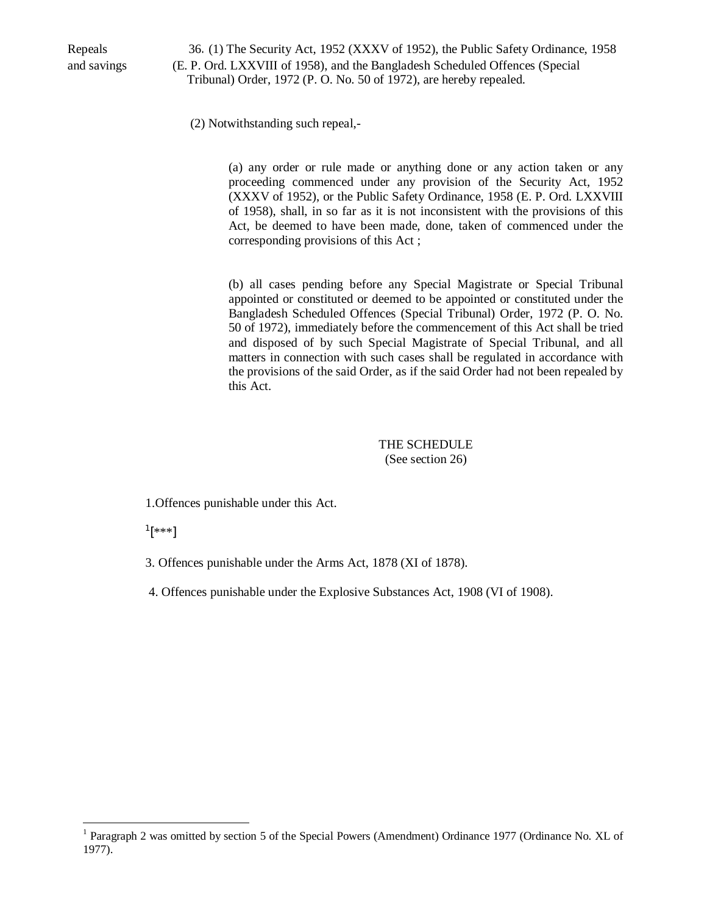Repeals 36. (1) The Security Act, 1952 (XXXV of 1952), the Public Safety Ordinance, 1958 and savings (E. P. Ord. LXXVIII of 1958), and the Bangladesh Scheduled Offences (Special Tribunal) Order, 1972 (P. O. No. 50 of 1972), are hereby repealed.

(2) Notwithstanding such repeal,-

(a) any order or rule made or anything done or any action taken or any proceeding commenced under any provision of the Security Act, 1952 (XXXV of 1952), or the Public Safety Ordinance, 1958 (E. P. Ord. LXXVIII of 1958), shall, in so far as it is not inconsistent with the provisions of this Act, be deemed to have been made, done, taken of commenced under the corresponding provisions of this Act ;

(b) all cases pending before any Special Magistrate or Special Tribunal appointed or constituted or deemed to be appointed or constituted under the Bangladesh Scheduled Offences (Special Tribunal) Order, 1972 (P. O. No. 50 of 1972), immediately before the commencement of this Act shall be tried and disposed of by such Special Magistrate of Special Tribunal, and all matters in connection with such cases shall be regulated in accordance with the provisions of the said Order, as if the said Order had not been repealed by this Act.

> THE SCHEDULE (See section 26)

1.Offences punishable under this Act.

 $^{1}[***]$ 

3. Offences punishable under the Arms Act, 1878 (XI of 1878).

4. Offences punishable under the Explosive Substances Act, 1908 (VI of 1908).

<sup>&</sup>lt;sup>1</sup> Paragraph 2 was omitted by section 5 of the Special Powers (Amendment) Ordinance 1977 (Ordinance No. XL of 1977).